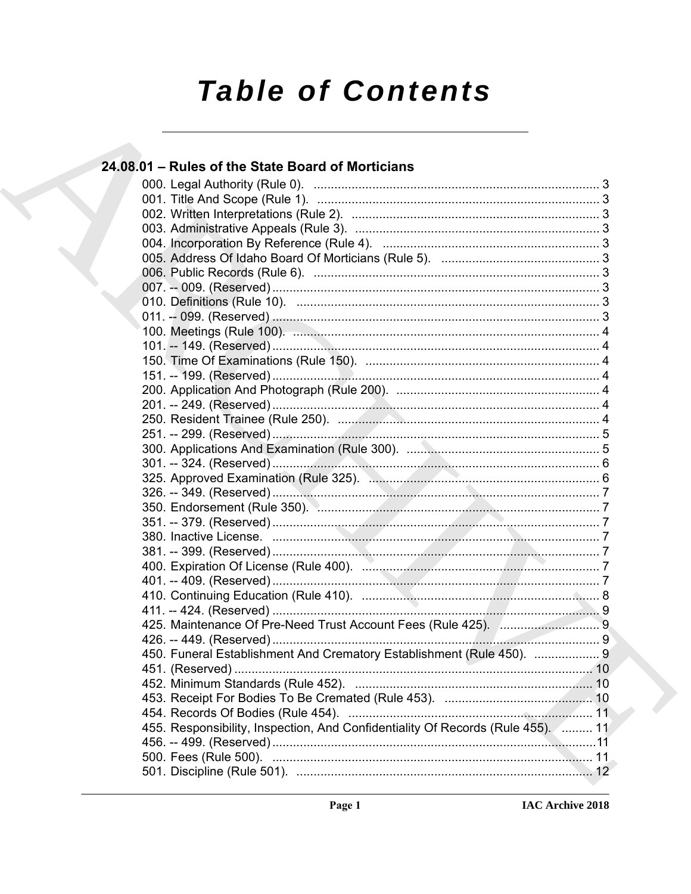# **Table of Contents**

| 24.08.01 - Rules of the State Board of Morticians                                |  |
|----------------------------------------------------------------------------------|--|
|                                                                                  |  |
|                                                                                  |  |
|                                                                                  |  |
|                                                                                  |  |
|                                                                                  |  |
|                                                                                  |  |
|                                                                                  |  |
|                                                                                  |  |
|                                                                                  |  |
|                                                                                  |  |
|                                                                                  |  |
|                                                                                  |  |
|                                                                                  |  |
|                                                                                  |  |
|                                                                                  |  |
|                                                                                  |  |
|                                                                                  |  |
|                                                                                  |  |
|                                                                                  |  |
|                                                                                  |  |
|                                                                                  |  |
|                                                                                  |  |
|                                                                                  |  |
|                                                                                  |  |
|                                                                                  |  |
|                                                                                  |  |
|                                                                                  |  |
|                                                                                  |  |
|                                                                                  |  |
|                                                                                  |  |
|                                                                                  |  |
|                                                                                  |  |
| 450. Funeral Establishment And Crematory Establishment (Rule 450).  9            |  |
|                                                                                  |  |
|                                                                                  |  |
|                                                                                  |  |
|                                                                                  |  |
| 455. Responsibility, Inspection, And Confidentiality Of Records (Rule 455). ( 11 |  |
|                                                                                  |  |
|                                                                                  |  |
|                                                                                  |  |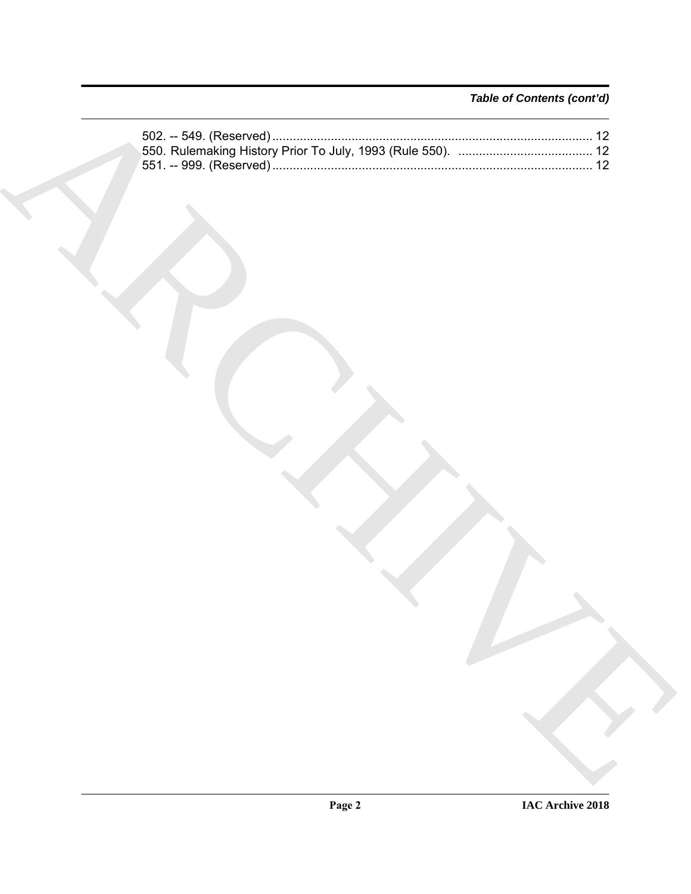### *Table of Contents (cont'd)*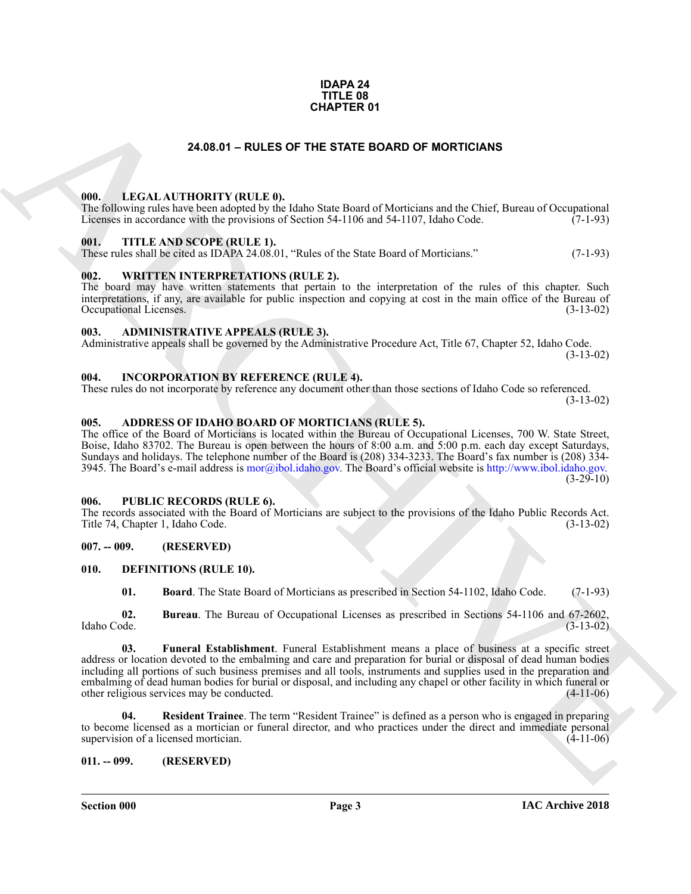### **IDAPA 24 TITLE 08 CHAPTER 01**

### **24.08.01 – RULES OF THE STATE BOARD OF MORTICIANS**

### <span id="page-2-19"></span><span id="page-2-1"></span><span id="page-2-0"></span>**000. LEGAL AUTHORITY (RULE 0).**

The following rules have been adopted by the Idaho State Board of Morticians and the Chief, Bureau of Occupational Licenses in accordance with the provisions of Section 54-1106 and 54-1107, Idaho Code. (7-1-93)

### <span id="page-2-21"></span><span id="page-2-2"></span>**001. TITLE AND SCOPE (RULE 1).**

These rules shall be cited as IDAPA 24.08.01, "Rules of the State Board of Morticians." (7-1-93)

### <span id="page-2-22"></span><span id="page-2-3"></span>**002. WRITTEN INTERPRETATIONS (RULE 2).**

The board may have written statements that pertain to the interpretation of the rules of this chapter. Such interpretations, if any, are available for public inspection and copying at cost in the main office of the Bureau of Occupational Licenses. (3-13-02) Occupational Licenses.

### <span id="page-2-12"></span><span id="page-2-4"></span>**003. ADMINISTRATIVE APPEALS (RULE 3).**

Administrative appeals shall be governed by the Administrative Procedure Act, Title 67, Chapter 52, Idaho Code. (3-13-02)

### <span id="page-2-18"></span><span id="page-2-5"></span>**004. INCORPORATION BY REFERENCE (RULE 4).**

These rules do not incorporate by reference any document other than those sections of Idaho Code so referenced. (3-13-02)

### <span id="page-2-11"></span><span id="page-2-6"></span>**005. ADDRESS OF IDAHO BOARD OF MORTICIANS (RULE 5).**

The office of the Board of Morticians is located within the Bureau of Occupational Licenses, 700 W. State Street, Boise, Idaho 83702. The Bureau is open between the hours of 8:00 a.m. and 5:00 p.m. each day except Saturdays, Sundays and holidays. The telephone number of the Board is (208) 334-3233. The Board's fax number is (208) 334- 3945. The Board's e-mail address is  $mor(\partial_i bol. idaho.gov)$ . The Board's official website is http://www.ibol.idaho.gov.  $(3-29-10)$ 

### <span id="page-2-20"></span><span id="page-2-7"></span>**006. PUBLIC RECORDS (RULE 6).**

The records associated with the Board of Morticians are subject to the provisions of the Idaho Public Records Act. Title 74, Chapter 1, Idaho Code. (3-13-02)

### <span id="page-2-8"></span>**007. -- 009. (RESERVED)**

### <span id="page-2-9"></span>**010. DEFINITIONS (RULE 10).**

<span id="page-2-16"></span><span id="page-2-15"></span><span id="page-2-14"></span><span id="page-2-13"></span>**01. Board**. The State Board of Morticians as prescribed in Section 54-1102, Idaho Code. (7-1-93)

**02. Bureau**. The Bureau of Occupational Licenses as prescribed in Sections 54-1106 and 67-2602, Idaho Code. (3-13-02)

**[CH](mailto:mor@ibol.idaho.gov)APTER 01**<br> **CHARCHIVE CHAPTER OARD OF MORTICANS**<br> **CHARCHIVE CHAPTER SOARD OF MORTGEANS**<br> **CHARCHIVE CHAPTER SOARD OF MORTGEANS**<br> **CHARCHIVE CHAPTER SOARD COPER (ETT. 1).**<br> **CHARCHIVE CHAPTER SOARD COPER (ETT. 1).**<br>
TH **03. Funeral Establishment**. Funeral Establishment means a place of business at a specific street address or location devoted to the embalming and care and preparation for burial or disposal of dead human bodies including all portions of such business premises and all tools, instruments and supplies used in the preparation and embalming of dead human bodies for burial or disposal, and including any chapel or other facility in which funeral or other religious services may be conducted. (4-11-06)

<span id="page-2-17"></span>**04. Resident Trainee**. The term "Resident Trainee" is defined as a person who is engaged in preparing to become licensed as a mortician or funeral director, and who practices under the direct and immediate personal supervision of a licensed mortician. supervision of a licensed mortician.

### <span id="page-2-10"></span>**011. -- 099. (RESERVED)**

**Section 000 Page 3**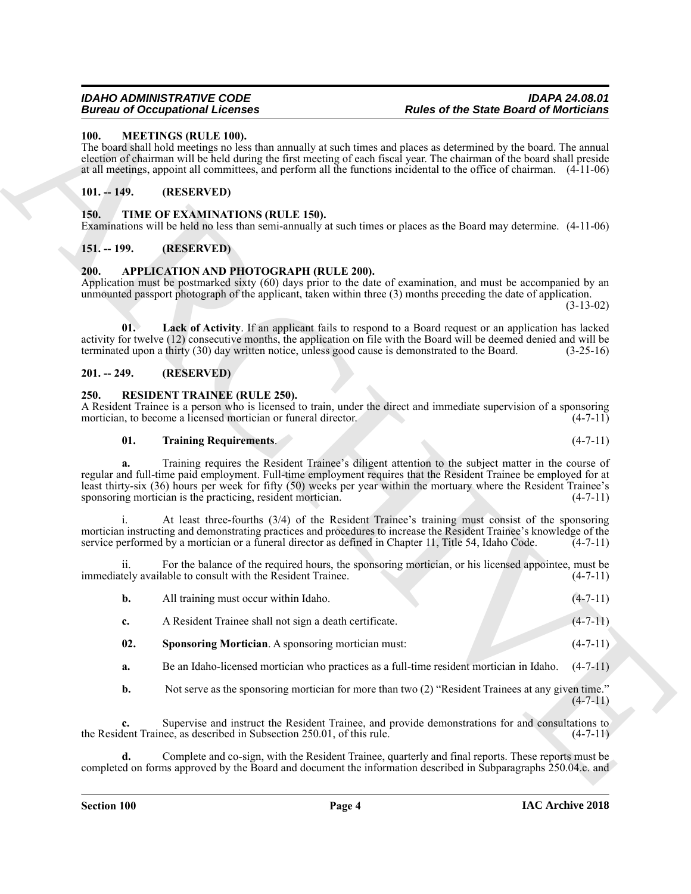### <span id="page-3-9"></span><span id="page-3-0"></span>**100. MEETINGS (RULE 100).**

The board shall hold meetings no less than annually at such times and places as determined by the board. The annual election of chairman will be held during the first meeting of each fiscal year. The chairman of the board shall preside at all meetings, appoint all committees, and perform all the functions incidental to the office of chairman. (4-11-06)

### <span id="page-3-1"></span>**101. -- 149. (RESERVED)**

### <span id="page-3-13"></span><span id="page-3-2"></span>**150. TIME OF EXAMINATIONS (RULE 150).**

Examinations will be held no less than semi-annually at such times or places as the Board may determine. (4-11-06)

### <span id="page-3-3"></span>**151. -- 199. (RESERVED)**

### <span id="page-3-7"></span><span id="page-3-4"></span>**200. APPLICATION AND PHOTOGRAPH (RULE 200).**

Application must be postmarked sixty (60) days prior to the date of examination, and must be accompanied by an unmounted passport photograph of the applicant, taken within three (3) months preceding the date of application.

(3-13-02)

<span id="page-3-8"></span>**01. Lack of Activity**. If an applicant fails to respond to a Board request or an application has lacked activity for twelve (12) consecutive months, the application on file with the Board will be deemed denied and will be terminated upon a thirty (30) day written notice, unless good cause is demonstrated to the Board. (3-25-16)

### <span id="page-3-5"></span>**201. -- 249. (RESERVED)**

### <span id="page-3-10"></span><span id="page-3-6"></span>**250. RESIDENT TRAINEE (RULE 250).**

A Resident Trainee is a person who is licensed to train, under the direct and immediate supervision of a sponsoring mortician, to become a licensed mortician or funeral director. (4-7-11) mortician, to become a licensed mortician or funeral director.

### <span id="page-3-12"></span>**01. Training Requirements**. (4-7-11)

**Example 20** Comparison in the comparison of the state of the State Board of Moritonian<br>
1980. Alternative and the comparison of the comparison of the comparison of the comparison of the control of the control of the cont **a.** Training requires the Resident Trainee's diligent attention to the subject matter in the course of regular and full-time paid employment. Full-time employment requires that the Resident Trainee be employed for at least thirty-six (36) hours per week for fifty (50) weeks per year within the mortuary where the Resident Trainee's sponsoring mortician is the practicing, resident mortician. (4-7-11)

i. At least three-fourths (3/4) of the Resident Trainee's training must consist of the sponsoring mortician instructing and demonstrating practices and procedures to increase the Resident Trainee's knowledge of the service performed by a mortician or a funeral director as defined in Chapter 11, Title 54, Idaho Code. (4-7-11)

For the balance of the required hours, the sponsoring mortician, or his licensed appointee, must be able to consult with the Resident Trainee. (4-7-11) immediately available to consult with the Resident Trainee.

| All training must occur within Idaho.                  | $(4-7-11)$ |
|--------------------------------------------------------|------------|
| A Resident Trainee shall not sign a death certificate. | $(4-7-11)$ |

- <span id="page-3-11"></span>**02. Sponsoring Mortician**. A sponsoring mortician must:  $(4-7-11)$
- **a.** Be an Idaho-licensed mortician who practices as a full-time resident mortician in Idaho. (4-7-11)
- **b.** Not serve as the sponsoring mortician for more than two (2) "Resident Trainees at any given time."  $(4 - 7 - 11)$

**c.** Supervise and instruct the Resident Trainee, and provide demonstrations for and consultations to the Resident Trainee, as described in Subsection 250.01, of this rule. (4-7-11)

**d.** Complete and co-sign, with the Resident Trainee, quarterly and final reports. These reports must be completed on forms approved by the Board and document the information described in Subparagraphs 250.04.c. and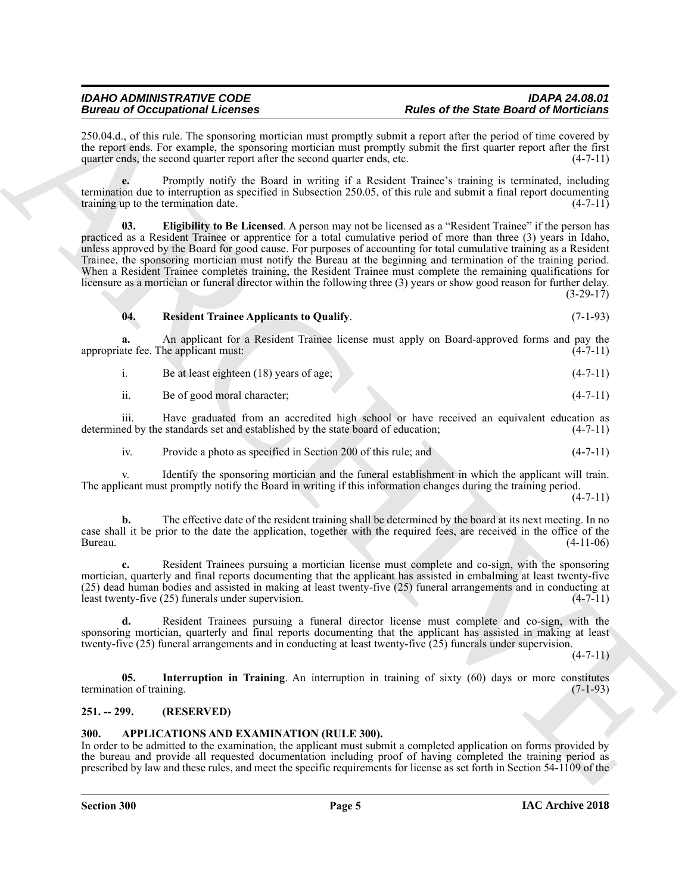250.04.d., of this rule. The sponsoring mortician must promptly submit a report after the period of time covered by the report ends. For example, the sponsoring mortician must promptly submit the first quarter report after the first quarter ends, the second quarter report after the second quarter ends, etc.  $(4-7-11)$ 

<span id="page-4-3"></span>**e.** Promptly notify the Board in writing if a Resident Trainee's training is terminated, including termination due to interruption as specified in Subsection 250.05, of this rule and submit a final report documenting training up to the termination date. training up to the termination date.

Beautiful Containing the containing the same of the same of the Same Board of Mericulais and the same state of the Same Board of Mericulais and the Same Board of the Same Board of the Same Board of the Same Board of the S **03. Eligibility to Be Licensed**. A person may not be licensed as a "Resident Trainee" if the person has practiced as a Resident Trainee or apprentice for a total cumulative period of more than three (3) years in Idaho, unless approved by the Board for good cause. For purposes of accounting for total cumulative training as a Resident Trainee, the sponsoring mortician must notify the Bureau at the beginning and termination of the training period. When a Resident Trainee completes training, the Resident Trainee must complete the remaining qualifications for licensure as a mortician or funeral director within the following three (3) years or show good reason for further delay.  $(3-29-17)$ 

### <span id="page-4-5"></span>**04. Resident Trainee Applicants to Qualify**. (7-1-93)

**a.** An applicant for a Resident Trainee license must apply on Board-approved forms and pay the ate fee. The applicant must: (4-7-11) appropriate fee. The applicant must:

i. Be at least eighteen (18) years of age; (4-7-11)

| Be of good moral character: | $(4-7-11)$ |
|-----------------------------|------------|
|                             |            |

iii. Have graduated from an accredited high school or have received an equivalent education as determined by the standards set and established by the state board of education; (4-7-11)

iv. Provide a photo as specified in Section 200 of this rule; and (4-7-11)

v. Identify the sponsoring mortician and the funeral establishment in which the applicant will train. The applicant must promptly notify the Board in writing if this information changes during the training period.

 $(4 - 7 - 11)$ 

**b.** The effective date of the resident training shall be determined by the board at its next meeting. In no case shall it be prior to the date the application, together with the required fees, are received in the office of the Bureau. (4-11-06)

**c.** Resident Trainees pursuing a mortician license must complete and co-sign, with the sponsoring mortician, quarterly and final reports documenting that the applicant has assisted in embalming at least twenty-five (25) dead human bodies and assisted in making at least twenty-five (25) funeral arrangements and in conducting at least twenty-five (25) funerals under supervision. (4-7-11)

**d.** Resident Trainees pursuing a funeral director license must complete and co-sign, with the sponsoring mortician, quarterly and final reports documenting that the applicant has assisted in making at least twenty-five (25) funeral arrangements and in conducting at least twenty-five (25) funerals under supervision.

 $(4 - 7 - 11)$ 

<span id="page-4-4"></span>**05. Interruption in Training**. An interruption in training of sixty (60) days or more constitutes on of training. termination of training.

### <span id="page-4-0"></span>**251. -- 299. (RESERVED)**

### <span id="page-4-2"></span><span id="page-4-1"></span>**300. APPLICATIONS AND EXAMINATION (RULE 300).**

In order to be admitted to the examination, the applicant must submit a completed application on forms provided by the bureau and provide all requested documentation including proof of having completed the training period as prescribed by law and these rules, and meet the specific requirements for license as set forth in Section 54-1109 of the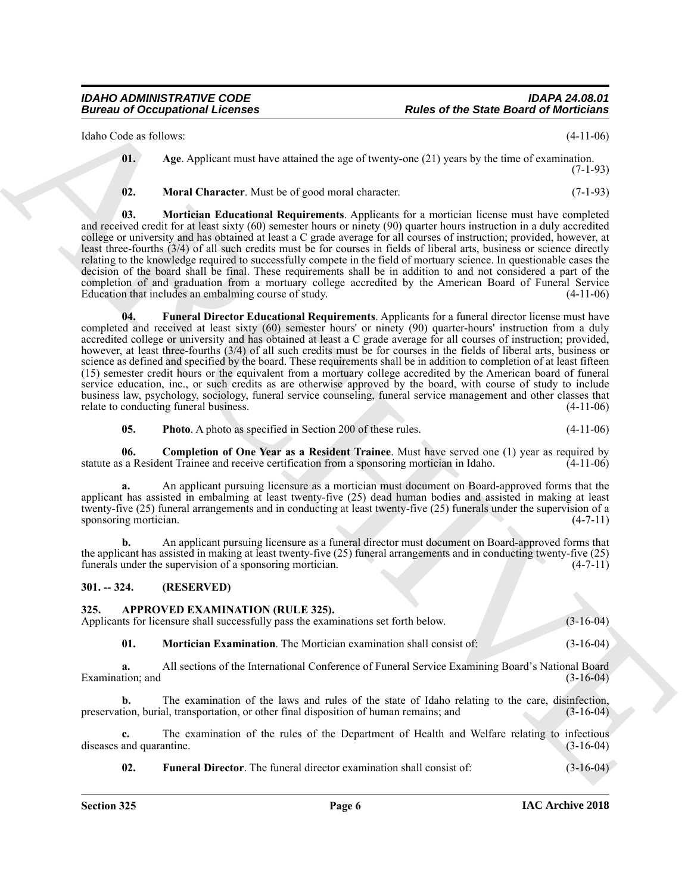Idaho Code as follows: (4-11-06)

<span id="page-5-2"></span>**01. Age**. Applicant must have attained the age of twenty-one (21) years by the time of examination. (7-1-93)

<span id="page-5-6"></span><span id="page-5-5"></span>**02. Moral Character**. Must be of good moral character. (7-1-93)

<span id="page-5-4"></span>**03. Mortician Educational Requirements**. Applicants for a mortician license must have completed and received credit for at least sixty (60) semester hours or ninety (90) quarter hours instruction in a duly accredited college or university and has obtained at least a C grade average for all courses of instruction; provided, however, at least three-fourths (3/4) of all such credits must be for courses in fields of liberal arts, business or science directly relating to the knowledge required to successfully compete in the field of mortuary science. In questionable cases the decision of the board shall be final. These requirements shall be in addition to and not considered a part of the completion of and graduation from a mortuary college accredited by the American Board of Funeral Service Education that includes an embalming course of study. (4-11-06)

Euler control de Comparison de Comparison de Comparison de Comparison de Comparison de Comparison de Comparison de Comparison de Comparison de Comparison de Comparison de Comparison de Comparison de Comparison de Comparis **04. Funeral Director Educational Requirements**. Applicants for a funeral director license must have completed and received at least sixty (60) semester hours' or ninety (90) quarter-hours' instruction from a duly accredited college or university and has obtained at least a C grade average for all courses of instruction; provided, however, at least three-fourths (3/4) of all such credits must be for courses in the fields of liberal arts, business or science as defined and specified by the board. These requirements shall be in addition to completion of at least fifteen (15) semester credit hours or the equivalent from a mortuary college accredited by the American board of funeral service education, inc., or such credits as are otherwise approved by the board, with course of study to include business law, psychology, sociology, funeral service counseling, funeral service management and other classes that relate to conducting funeral business. (4-11-06)

<span id="page-5-7"></span><span id="page-5-3"></span>**05. Photo**. A photo as specified in Section 200 of these rules.  $(4-11-06)$ 

**06. Completion of One Year as a Resident Trainee**. Must have served one (1) year as required by statute as a Resident Trainee and receive certification from a sponsoring mortician in Idaho. (4-11-06)

**a.** An applicant pursuing licensure as a mortician must document on Board-approved forms that the applicant has assisted in embalming at least twenty-five (25) dead human bodies and assisted in making at least twenty-five (25) funeral arrangements and in conducting at least twenty-five (25) funerals under the supervision of a sponsoring mortician. (4-7-11) sponsoring mortician.

**b.** An applicant pursuing licensure as a funeral director must document on Board-approved forms that the applicant has assisted in making at least twenty-five (25) funeral arrangements and in conducting twenty-five (25) funerals under the supervision of a sponsoring mortician. (4-7-11)

### <span id="page-5-0"></span>**301. -- 324. (RESERVED)**

<span id="page-5-8"></span><span id="page-5-1"></span>**325. APPROVED EXAMINATION (RULE 325).**

Applicants for licensure shall successfully pass the examinations set forth below. (3-16-04)

<span id="page-5-10"></span>**01. Mortician Examination**. The Mortician examination shall consist of: (3-16-04)

**a.** All sections of the International Conference of Funeral Service Examining Board's National Board Examination; and (3-16-04)

**b.** The examination of the laws and rules of the state of Idaho relating to the care, disinfection, preservation, burial, transportation, or other final disposition of human remains; and (3-16-04)

**c.** The examination of the rules of the Department of Health and Welfare relating to infectious and quarantine. (3-16-04) diseases and quarantine.

<span id="page-5-9"></span>**02. Funeral Director**. The funeral director examination shall consist of: (3-16-04)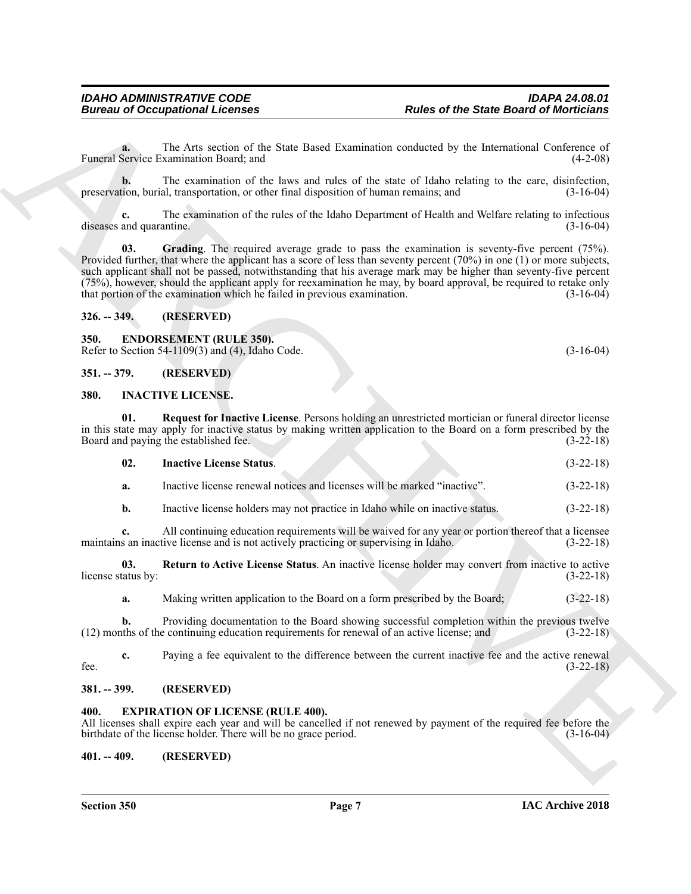**a.** The Arts section of the State Based Examination conducted by the International Conference of Funeral Service Examination Board; and (4-2-08)

**b.** The examination of the laws and rules of the state of Idaho relating to the care, disinfection, preservation, burial, transportation, or other final disposition of human remains; and (3-16-04)

<span id="page-6-7"></span>**c.** The examination of the rules of the Idaho Department of Health and Welfare relating to infectious diseases and quarantine. (3-16-04)

**Example and Constraints of the Save Basic distributed by the Basic distribution of Constraints Constraints Constraints Constraints of the Constraints Constraints of the Constraints of the Constraints of the Constraints o 03. Grading**. The required average grade to pass the examination is seventy-five percent (75%). Provided further, that where the applicant has a score of less than seventy percent (70%) in one (1) or more subjects, such applicant shall not be passed, notwithstanding that his average mark may be higher than seventy-five percent (75%), however, should the applicant apply for reexamination he may, by board approval, be required to retake only that portion of the examination which he failed in previous examination. (3-16-04)

### <span id="page-6-0"></span>**326. -- 349. (RESERVED)**

### <span id="page-6-8"></span><span id="page-6-1"></span>**350. ENDORSEMENT (RULE 350).** Refer to Section 54-1109(3) and (4), Idaho Code. (3-16-04)

<span id="page-6-2"></span>**351. -- 379. (RESERVED)**

### <span id="page-6-10"></span><span id="page-6-3"></span>**380. INACTIVE LICENSE.**

**01. Request for Inactive License**. Persons holding an unrestricted mortician or funeral director license in this state may apply for inactive status by making written application to the Board on a form prescribed by the Board and paying the established fee.

<span id="page-6-12"></span><span id="page-6-11"></span>

| - 02. | <b>Inactive License Status.</b> |  | $(3-22-18)$ |
|-------|---------------------------------|--|-------------|
|       |                                 |  |             |

**a.** Inactive license renewal notices and licenses will be marked "inactive". (3-22-18)

**b.** Inactive license holders may not practice in Idaho while on inactive status.  $(3-22-18)$ 

**c.** All continuing education requirements will be waived for any year or portion thereof that a licensee maintains an inactive license and is not actively practicing or supervising in Idaho. (3-22-18)

**03.** Return to Active License Status. An inactive license holder may convert from inactive to active tatus by:<br>(3-22-18) license status by:

<span id="page-6-13"></span>**a.** Making written application to the Board on a form prescribed by the Board;  $(3-22-18)$ 

**b.** Providing documentation to the Board showing successful completion within the previous twelve (12) months of the continuing education requirements for renewal of an active license; and (3-22-18)

**c.** Paying a fee equivalent to the difference between the current inactive fee and the active renewal fee.  $(3-22-18)$ 

### <span id="page-6-4"></span>**381. -- 399. (RESERVED)**

### <span id="page-6-9"></span><span id="page-6-5"></span>**400. EXPIRATION OF LICENSE (RULE 400).**

All licenses shall expire each year and will be cancelled if not renewed by payment of the required fee before the birthdate of the license holder. There will be no grace period. (3-16-04)

<span id="page-6-6"></span>**401. -- 409. (RESERVED)**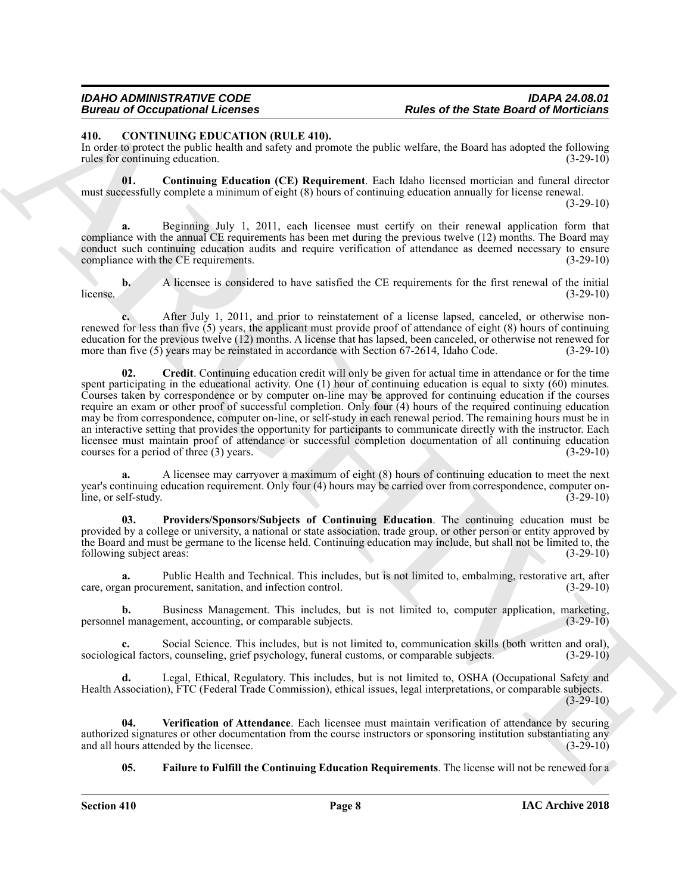### *IDAHO ADMINISTRATIVE CODE IDAPA 24.08.01* **Rules of the State Board of Morticians**

<span id="page-7-1"></span><span id="page-7-0"></span>**410. CONTINUING EDUCATION (RULE 410).**

In order to protect the public health and safety and promote the public welfare, the Board has adopted the following rules for continuing education. (3-29-10)

<span id="page-7-2"></span>**01. Continuing Education (CE) Requirement**. Each Idaho licensed mortician and funeral director must successfully complete a minimum of eight (8) hours of continuing education annually for license renewal.

 $(3-29-10)$ 

**a.** Beginning July 1, 2011, each licensee must certify on their renewal application form that compliance with the annual CE requirements has been met during the previous twelve (12) months. The Board may conduct such continuing education audits and require verification of attendance as deemed necessary to ensure compliance with the CE requirements. (3-29-10)

**b.** A licensee is considered to have satisfied the CE requirements for the first renewal of the initial  $\mu$  (3-29-10)  $(3-29-10)$ 

<span id="page-7-3"></span>**c.** After July 1, 2011, and prior to reinstatement of a license lapsed, canceled, or otherwise nonrenewed for less than five (5) years, the applicant must provide proof of attendance of eight (8) hours of continuing education for the previous twelve (12) months. A license that has lapsed, been canceled, or otherwise not renewed for more than five (5) years may be reinstated in accordance with Section 67-2614, Idaho Code. (3-29-10)

**Bruce of DeCember 21. Rober of Hench** Barnet Control in the Same Barnet Barnet Barnet Barnet Barnet Barnet Barnet Barnet Barnet Barnet Barnet Barnet Barnet Barnet Barnet Barnet Barnet Barnet Barnet Barnet Barnet Barnet **02. Credit**. Continuing education credit will only be given for actual time in attendance or for the time spent participating in the educational activity. One (1) hour of continuing education is equal to sixty (60) minutes. Courses taken by correspondence or by computer on-line may be approved for continuing education if the courses require an exam or other proof of successful completion. Only four (4) hours of the required continuing education may be from correspondence, computer on-line, or self-study in each renewal period. The remaining hours must be in an interactive setting that provides the opportunity for participants to communicate directly with the instructor. Each licensee must maintain proof of attendance or successful completion documentation of all continuing education courses for a period of three (3) years. (3-29-10)

**a.** A licensee may carryover a maximum of eight (8) hours of continuing education to meet the next year's continuing education requirement. Only four (4) hours may be carried over from correspondence, computer online, or self-study. (3-29-10)

<span id="page-7-5"></span>**03. Providers/Sponsors/Subjects of Continuing Education**. The continuing education must be provided by a college or university, a national or state association, trade group, or other person or entity approved by the Board and must be germane to the license held. Continuing education may include, but shall not be limited to, the following subject areas: (3-29-10)

**a.** Public Health and Technical. This includes, but is not limited to, embalming, restorative art, after an procurement, sanitation, and infection control. care, organ procurement, sanitation, and infection control.

**b.** Business Management. This includes, but is not limited to, computer application, marketing, l' management, accounting, or comparable subjects. (3-29-10) personnel management, accounting, or comparable subjects.

**c.** Social Science. This includes, but is not limited to, communication skills (both written and oral), sociological factors, counseling, grief psychology, funeral customs, or comparable subjects. (3-29-10)

**d.** Legal, Ethical, Regulatory. This includes, but is not limited to, OSHA (Occupational Safety and Health Association), FTC (Federal Trade Commission), ethical issues, legal interpretations, or comparable subjects. (3-29-10)

**04. Verification of Attendance**. Each licensee must maintain verification of attendance by securing authorized signatures or other documentation from the course instructors or sponsoring institution substantiating any<br>and all hours attended by the licensee. (3-29-10) and all hours attended by the licensee.

<span id="page-7-6"></span><span id="page-7-4"></span>**05. Failure to Fulfill the Continuing Education Requirements**. The license will not be renewed for a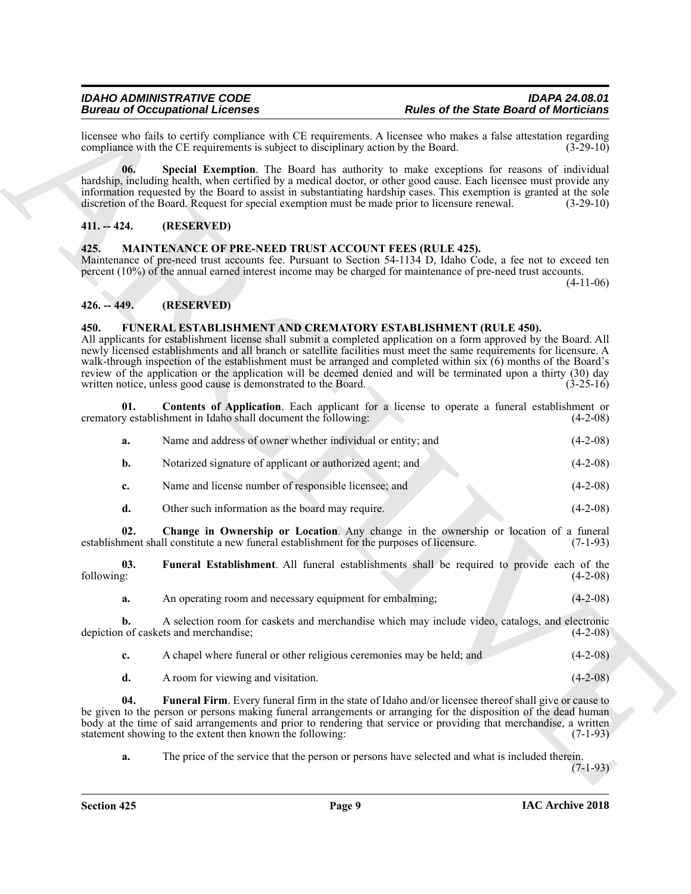### <span id="page-8-4"></span><span id="page-8-0"></span>**411. -- 424. (RESERVED)**

### <span id="page-8-10"></span><span id="page-8-1"></span>**425. MAINTENANCE OF PRE-NEED TRUST ACCOUNT FEES (RULE 425).**

### <span id="page-8-2"></span>**426. -- 449. (RESERVED)**

### <span id="page-8-7"></span><span id="page-8-5"></span><span id="page-8-3"></span>**450. FUNERAL ESTABLISHMENT AND CREMATORY ESTABLISHMENT (RULE 450).**

|                   | <b>Bureau of Occupational Licenses</b>                                                    | <b>Rules of the State Board of Morticians</b>                                                                                                                                                                                                                                                                                                                                                                                                                                                                                                        |             |
|-------------------|-------------------------------------------------------------------------------------------|------------------------------------------------------------------------------------------------------------------------------------------------------------------------------------------------------------------------------------------------------------------------------------------------------------------------------------------------------------------------------------------------------------------------------------------------------------------------------------------------------------------------------------------------------|-------------|
|                   | compliance with the CE requirements is subject to disciplinary action by the Board.       | licensee who fails to certify compliance with CE requirements. A licensee who makes a false attestation regarding                                                                                                                                                                                                                                                                                                                                                                                                                                    | $(3-29-10)$ |
| 06.               |                                                                                           | Special Exemption. The Board has authority to make exceptions for reasons of individual<br>hardship, including health, when certified by a medical doctor, or other good cause. Each licensee must provide any<br>information requested by the Board to assist in substantiating hardship cases. This exemption is granted at the sole<br>discretion of the Board. Request for special exemption must be made prior to licensure renewal.                                                                                                            | $(3-29-10)$ |
| $411. - 424.$     | (RESERVED)                                                                                |                                                                                                                                                                                                                                                                                                                                                                                                                                                                                                                                                      |             |
| 425.              | <b>MAINTENANCE OF PRE-NEED TRUST ACCOUNT FEES (RULE 425).</b>                             | Maintenance of pre-need trust accounts fee. Pursuant to Section 54-1134 D, Idaho Code, a fee not to exceed ten<br>percent (10%) of the annual earned interest income may be charged for maintenance of pre-need trust accounts.                                                                                                                                                                                                                                                                                                                      | $(4-11-06)$ |
| $426. - 449.$     | (RESERVED)                                                                                |                                                                                                                                                                                                                                                                                                                                                                                                                                                                                                                                                      |             |
| 450.              | written notice, unless good cause is demonstrated to the Board.                           | FUNERAL ESTABLISHMENT AND CREMATORY ESTABLISHMENT (RULE 450).<br>All applicants for establishment license shall submit a completed application on a form approved by the Board. All<br>newly licensed establishments and all branch or satellite facilities must meet the same requirements for licensure. A<br>walk-through inspection of the establishment must be arranged and completed within six (6) months of the Board's<br>review of the application or the application will be deemed denied and will be terminated upon a thirty (30) day | $(3-25-16)$ |
| 01.               | crematory establishment in Idaho shall document the following:                            | Contents of Application. Each applicant for a license to operate a funeral establishment or                                                                                                                                                                                                                                                                                                                                                                                                                                                          | $(4-2-08)$  |
| a.                | Name and address of owner whether individual or entity; and                               |                                                                                                                                                                                                                                                                                                                                                                                                                                                                                                                                                      | $(4-2-08)$  |
| $\mathbf{b}$ .    | Notarized signature of applicant or authorized agent; and                                 |                                                                                                                                                                                                                                                                                                                                                                                                                                                                                                                                                      | $(4-2-08)$  |
| c.                | Name and license number of responsible licensee; and                                      |                                                                                                                                                                                                                                                                                                                                                                                                                                                                                                                                                      | $(4-2-08)$  |
| d.                | Other such information as the board may require.                                          |                                                                                                                                                                                                                                                                                                                                                                                                                                                                                                                                                      | $(4-2-08)$  |
| 02.               | establishment shall constitute a new funeral establishment for the purposes of licensure. | Change in Ownership or Location. Any change in the ownership or location of a funeral                                                                                                                                                                                                                                                                                                                                                                                                                                                                | $(7-1-93)$  |
| 03.<br>following: |                                                                                           | <b>Funeral Establishment.</b> All funeral establishments shall be required to provide each of the                                                                                                                                                                                                                                                                                                                                                                                                                                                    | $(4-2-08)$  |
| a.                | An operating room and necessary equipment for embalming;                                  |                                                                                                                                                                                                                                                                                                                                                                                                                                                                                                                                                      | $(4-2-08)$  |
| b.                | depiction of caskets and merchandise;                                                     | A selection room for caskets and merchandise which may include video, catalogs, and electronic                                                                                                                                                                                                                                                                                                                                                                                                                                                       | $(4-2-08)$  |
| c.                | A chapel where funeral or other religious ceremonies may be held; and                     |                                                                                                                                                                                                                                                                                                                                                                                                                                                                                                                                                      | $(4-2-08)$  |
| d.                | A room for viewing and visitation.                                                        |                                                                                                                                                                                                                                                                                                                                                                                                                                                                                                                                                      | $(4-2-08)$  |
| 04.               | statement showing to the extent then known the following:                                 | Funeral Firm. Every funeral firm in the state of Idaho and/or licensee thereof shall give or cause to<br>be given to the person or persons making funeral arrangements or arranging for the disposition of the dead human<br>body at the time of said arrangements and prior to rendering that service or providing that merchandise, a written                                                                                                                                                                                                      | $(7-1-93)$  |
|                   |                                                                                           | The price of the service that the person or persons have selected and what is included therein.                                                                                                                                                                                                                                                                                                                                                                                                                                                      |             |

- <span id="page-8-8"></span><span id="page-8-6"></span>**c.** A chapel where funeral or other religious ceremonies may be held; and  $(4-2-08)$
- <span id="page-8-9"></span>**d.** A room for viewing and visitation. (4-2-08)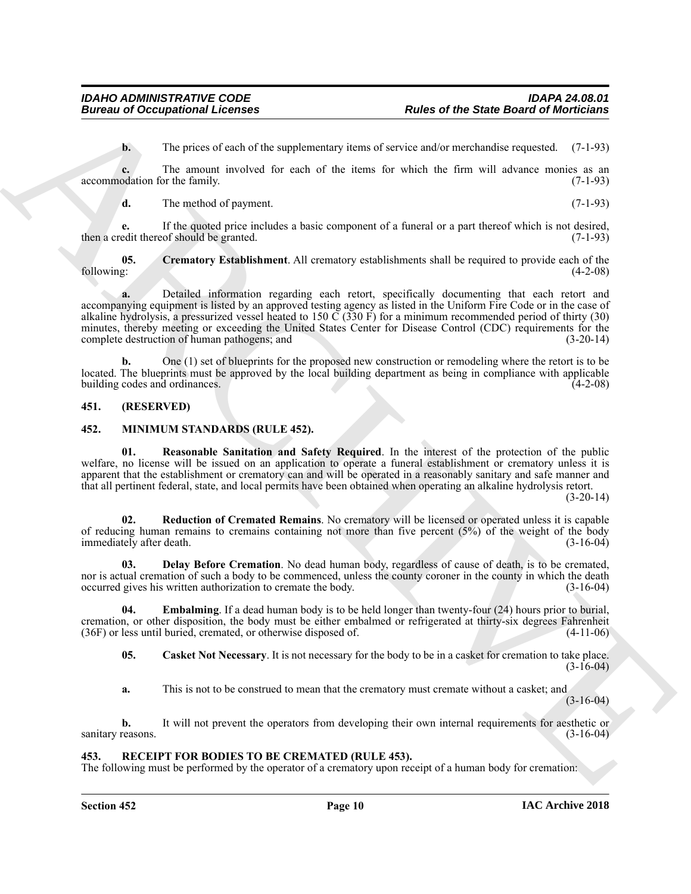**b.** The prices of each of the supplementary items of service and/or merchandise requested. (7-1-93)

**c.** The amount involved for each of the items for which the firm will advance monies as an accommodation for the family. (7-1-93)

<span id="page-9-3"></span>**d.** The method of payment. (7-1-93)

**e.** If the quoted price includes a basic component of a funeral or a part thereof which is not desired, then a credit thereof should be granted. (7-1-93)

**05.** Crematory Establishment. All crematory establishments shall be required to provide each of the following: (4-2-08) following: (4-2-08)

**Example of Procession of Comparison Internet of the Same density are not Same density internal and the set of the Same density of the Same density and the Same density of the Same density and the Same density of the Same a.** Detailed information regarding each retort, specifically documenting that each retort and accompanying equipment is listed by an approved testing agency as listed in the Uniform Fire Code or in the case of alkaline hydrolysis, a pressurized vessel heated to 150  $\check{C}$  (330 F) for a minimum recommended period of thirty (30) minutes, thereby meeting or exceeding the United States Center for Disease Control (CDC) requirements for the complete destruction of human pathogens; and (3-20-14)

**b.** One (1) set of blueprints for the proposed new construction or remodeling where the retort is to be located. The blueprints must be approved by the local building department as being in compliance with applicable building codes and ordinances. (4-2-08) building codes and ordinances.

### <span id="page-9-0"></span>**451. (RESERVED)**

### <span id="page-9-4"></span><span id="page-9-1"></span>**452. MINIMUM STANDARDS (RULE 452).**

<span id="page-9-8"></span>**01. Reasonable Sanitation and Safety Required**. In the interest of the protection of the public welfare, no license will be issued on an application to operate a funeral establishment or crematory unless it is apparent that the establishment or crematory can and will be operated in a reasonably sanitary and safe manner and that all pertinent federal, state, and local permits have been obtained when operating an alkaline hydrolysis retort.

(3-20-14)

<span id="page-9-9"></span>**02. Reduction of Cremated Remains**. No crematory will be licensed or operated unless it is capable of reducing human remains to cremains containing not more than five percent (5%) of the weight of the body immediately after death. (3-16-04)

<span id="page-9-6"></span>**03. Delay Before Cremation**. No dead human body, regardless of cause of death, is to be cremated, nor is actual cremation of such a body to be commenced, unless the county coroner in the county in which the death occurred gives his written authorization to cremate the body. (3-16-04)

**04. Embalming**. If a dead human body is to be held longer than twenty-four (24) hours prior to burial, cremation, or other disposition, the body must be either embalmed or refrigerated at thirty-six degrees Fahrenheit (36F) or less until buried, cremated, or otherwise disposed of. (4-11-06)

<span id="page-9-7"></span><span id="page-9-5"></span>**05. Casket Not Necessary**. It is not necessary for the body to be in a casket for cremation to take place. (3-16-04)

**a.** This is not to be construed to mean that the crematory must cremate without a casket; and

 $(3-16-04)$ 

**b.** It will not prevent the operators from developing their own internal requirements for aesthetic or sanitary reasons. (3-16-04)

### <span id="page-9-10"></span><span id="page-9-2"></span>**453. RECEIPT FOR BODIES TO BE CREMATED (RULE 453).**

The following must be performed by the operator of a crematory upon receipt of a human body for cremation: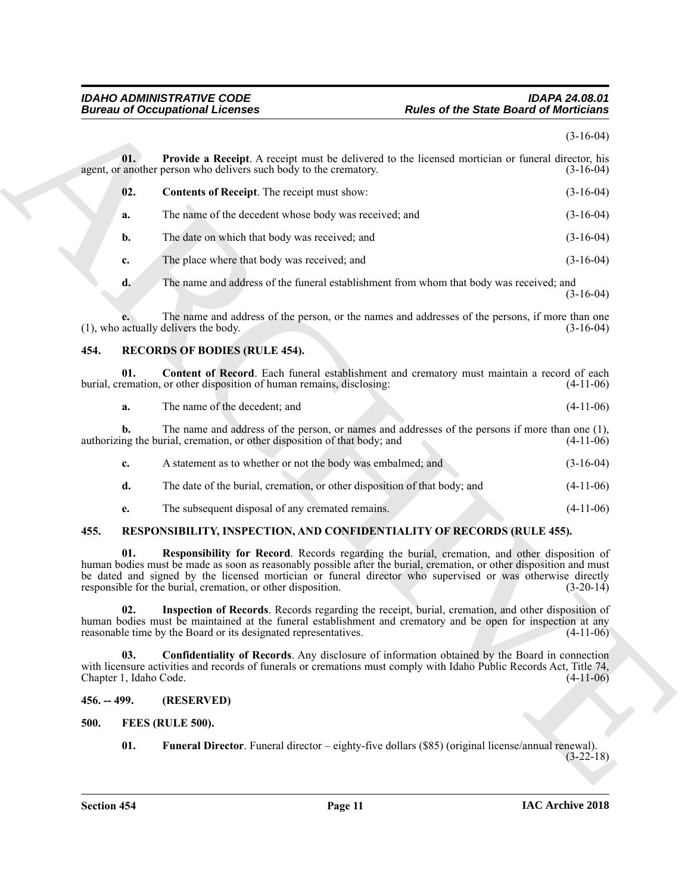### <span id="page-10-9"></span><span id="page-10-8"></span><span id="page-10-7"></span><span id="page-10-6"></span><span id="page-10-0"></span>*IDAHO ADMINISTRATIVE CODE IDAPA 24.08.01* **Rules of the State Board of Morticians**

| 01.<br>02.<br>a.<br>$\mathbf{b}$ .<br>c.<br>d.<br>(1), who actually delivers the body.<br>454. | Provide a Receipt. A receipt must be delivered to the licensed mortician or funeral director, his<br>agent, or another person who delivers such body to the crematory.<br>Contents of Receipt. The receipt must show:<br>The name of the decedent whose body was received; and<br>The date on which that body was received; and<br>The place where that body was received; and<br>The name and address of the funeral establishment from whom that body was received; and<br>The name and address of the person, or the names and addresses of the persons, if more than one<br><b>RECORDS OF BODIES (RULE 454).</b> | $(3-16-04)$<br>$(3-16-04)$<br>$(3-16-04)$<br>$(3-16-04)$<br>$(3-16-04)$ |
|------------------------------------------------------------------------------------------------|----------------------------------------------------------------------------------------------------------------------------------------------------------------------------------------------------------------------------------------------------------------------------------------------------------------------------------------------------------------------------------------------------------------------------------------------------------------------------------------------------------------------------------------------------------------------------------------------------------------------|-------------------------------------------------------------------------|
|                                                                                                |                                                                                                                                                                                                                                                                                                                                                                                                                                                                                                                                                                                                                      |                                                                         |
|                                                                                                |                                                                                                                                                                                                                                                                                                                                                                                                                                                                                                                                                                                                                      |                                                                         |
|                                                                                                |                                                                                                                                                                                                                                                                                                                                                                                                                                                                                                                                                                                                                      |                                                                         |
|                                                                                                |                                                                                                                                                                                                                                                                                                                                                                                                                                                                                                                                                                                                                      |                                                                         |
|                                                                                                |                                                                                                                                                                                                                                                                                                                                                                                                                                                                                                                                                                                                                      | $(3-16-04)$<br>$(3-16-04)$                                              |
|                                                                                                |                                                                                                                                                                                                                                                                                                                                                                                                                                                                                                                                                                                                                      |                                                                         |
|                                                                                                |                                                                                                                                                                                                                                                                                                                                                                                                                                                                                                                                                                                                                      |                                                                         |
|                                                                                                |                                                                                                                                                                                                                                                                                                                                                                                                                                                                                                                                                                                                                      | $(3-16-04)$                                                             |
|                                                                                                |                                                                                                                                                                                                                                                                                                                                                                                                                                                                                                                                                                                                                      |                                                                         |
| 01.                                                                                            | Content of Record. Each funeral establishment and crematory must maintain a record of each<br>burial, cremation, or other disposition of human remains, disclosing:                                                                                                                                                                                                                                                                                                                                                                                                                                                  | $(4-11-06)$                                                             |
| a.                                                                                             | The name of the decedent; and                                                                                                                                                                                                                                                                                                                                                                                                                                                                                                                                                                                        | $(4-11-06)$                                                             |
| b.                                                                                             | The name and address of the person, or names and addresses of the persons if more than one (1),<br>authorizing the burial, cremation, or other disposition of that body; and                                                                                                                                                                                                                                                                                                                                                                                                                                         | $(4-11-06)$                                                             |
| c.                                                                                             | A statement as to whether or not the body was embalmed; and                                                                                                                                                                                                                                                                                                                                                                                                                                                                                                                                                          | $(3-16-04)$                                                             |
| d.                                                                                             | The date of the burial, cremation, or other disposition of that body; and                                                                                                                                                                                                                                                                                                                                                                                                                                                                                                                                            | $(4-11-06)$                                                             |
| e.                                                                                             | The subsequent disposal of any cremated remains.                                                                                                                                                                                                                                                                                                                                                                                                                                                                                                                                                                     | $(4-11-06)$                                                             |
| 455.                                                                                           | RESPONSIBILITY, INSPECTION, AND CONFIDENTIALITY OF RECORDS (RULE 455).                                                                                                                                                                                                                                                                                                                                                                                                                                                                                                                                               |                                                                         |
| 01.                                                                                            | Responsibility for Record. Records regarding the burial, cremation, and other disposition of<br>human bodies must be made as soon as reasonably possible after the burial, cremation, or other disposition and must<br>be dated and signed by the licensed mortician or funeral director who supervised or was otherwise directly<br>responsible for the burial, cremation, or other disposition.                                                                                                                                                                                                                    | $(3-20-14)$                                                             |
| 02.                                                                                            | Inspection of Records. Records regarding the receipt, burial, cremation, and other disposition of<br>human bodies must be maintained at the funeral establishment and crematory and be open for inspection at any<br>reasonable time by the Board or its designated representatives.                                                                                                                                                                                                                                                                                                                                 | $(4-11-06)$                                                             |
| 03.<br>Chapter 1, Idaho Code.                                                                  | Confidentiality of Records. Any disclosure of information obtained by the Board in connection<br>with licensure activities and records of funerals or cremations must comply with Idaho Public Records Act, Title 74,                                                                                                                                                                                                                                                                                                                                                                                                | $(4-11-06)$                                                             |
| $456. - 499.$                                                                                  | (RESERVED)                                                                                                                                                                                                                                                                                                                                                                                                                                                                                                                                                                                                           |                                                                         |
| 500.                                                                                           | FEES (RULE 500).                                                                                                                                                                                                                                                                                                                                                                                                                                                                                                                                                                                                     |                                                                         |
| 01.                                                                                            | Funeral Director. Funeral director – eighty-five dollars (\$85) (original license/annual renewal).                                                                                                                                                                                                                                                                                                                                                                                                                                                                                                                   | $(3-22-18)$                                                             |

- <span id="page-10-13"></span><span id="page-10-12"></span><span id="page-10-11"></span><span id="page-10-10"></span><span id="page-10-5"></span><span id="page-10-4"></span><span id="page-10-3"></span><span id="page-10-2"></span><span id="page-10-1"></span>**500. FEES (RULE 500).**
	- **01. Funeral Director**. Funeral director eighty-five dollars (\$85) (original license/annual renewal).  $(3-22-18)$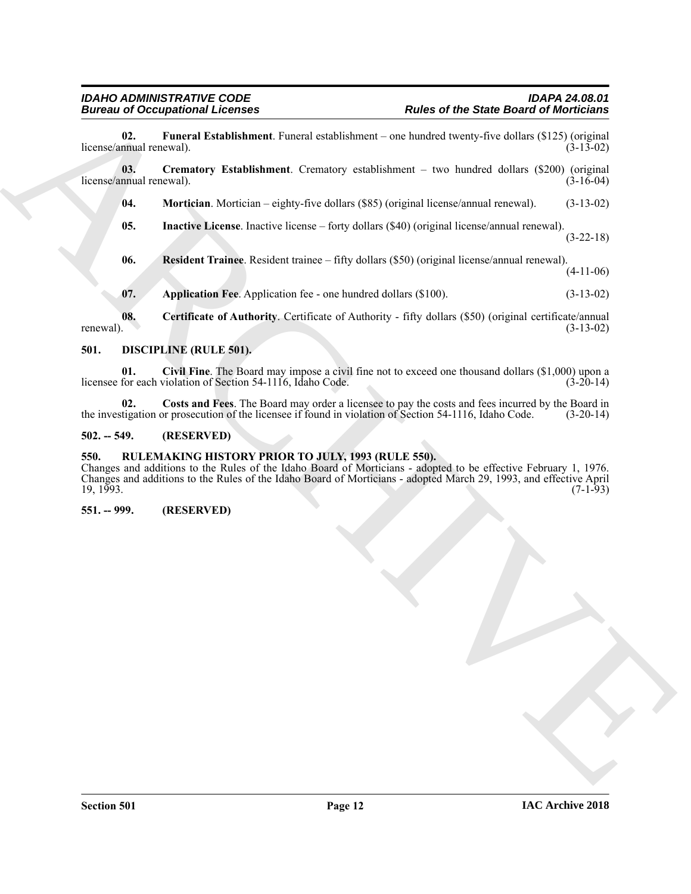<span id="page-11-10"></span>**02. Funeral Establishment**. Funeral establishment – one hundred twenty-five dollars (\$125) (original license/annual renewal).

**03. Crematory Establishment**. Crematory establishment – two hundred dollars (\$200) (original license/annual renewal). (3-16-04)

<span id="page-11-12"></span><span id="page-11-9"></span>**04. Mortician**. Mortician – eighty-five dollars (\$85) (original license/annual renewal). (3-13-02)

<span id="page-11-11"></span>**05. Inactive License**. Inactive license – forty dollars (\$40) (original license/annual renewal). (3-22-18)

<span id="page-11-13"></span>**06. Resident Trainee**. Resident trainee – fifty dollars (\$50) (original license/annual renewal). (4-11-06)

<span id="page-11-8"></span><span id="page-11-7"></span><span id="page-11-5"></span>**07.** Application Fee. Application fee - one hundred dollars (\$100). (3-13-02)

**08. Certificate of Authority**. Certificate of Authority - fifty dollars (\$50) (original certificate/annual renewal).  $(3-13-02)$ 

### <span id="page-11-4"></span><span id="page-11-0"></span>**501. DISCIPLINE (RULE 501).**

**01. Civil Fine**. The Board may impose a civil fine not to exceed one thousand dollars (\$1,000) upon a licensee for each violation of Section 54-1116, Idaho Code.

<span id="page-11-6"></span>**02.** Costs and Fees. The Board may order a licensee to pay the costs and fees incurred by the Board in tigation or prosecution of the licensee if found in violation of Section 54-1116, Idaho Code. (3-20-14) the investigation or prosecution of the licensee if found in violation of Section 54-1116, Idaho Code.

### <span id="page-11-1"></span>**502. -- 549. (RESERVED)**

### <span id="page-11-2"></span>**550. RULEMAKING HISTORY PRIOR TO JULY, 1993 (RULE 550).**

**Entrance III. Constrainer Constrainer**<br> **Robert Distribution Constrainer**<br> **Robert Distribution Constrainer (Action Constrainer Constrainer Constrainer Constrainer (Constrainer Constrainer Constrainer Constrainer Const** Changes and additions to the Rules of the Idaho Board of Morticians - adopted to be effective February 1, 1976. Changes and additions to the Rules of the Idaho Board of Morticians - adopted March 29, 1993, and effective April  $19, 1993.$  (7-1-93)

### <span id="page-11-3"></span>**551. -- 999. (RESERVED)**